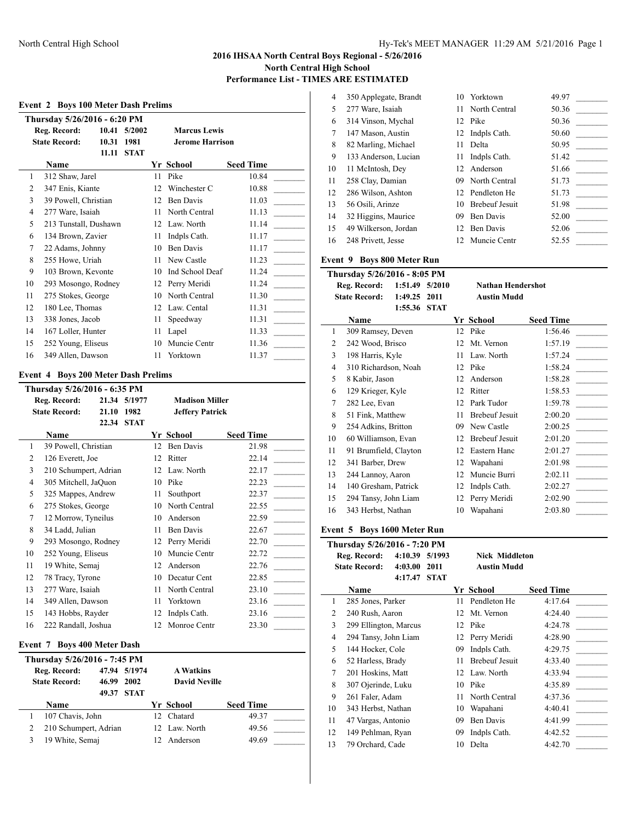$\overline{\phantom{a}}$ 

 $\overline{\phantom{a}}$ 

# **Event 2 Boys 100 Meter Dash Prelims**

|    | Thursday 5/26/2016 - 6:20 PM |                                                   |             |    |                        |                  |
|----|------------------------------|---------------------------------------------------|-------------|----|------------------------|------------------|
|    | Reg. Record:                 | 10.41                                             | 5/2002      |    | <b>Marcus Lewis</b>    |                  |
|    | <b>State Record:</b>         | 10.31                                             | 1981        |    | <b>Jerome Harrison</b> |                  |
|    |                              | 11.11                                             | <b>STAT</b> |    |                        |                  |
|    | Name                         |                                                   |             |    | Yr School              | <b>Seed Time</b> |
| 1  | 312 Shaw, Jarel              |                                                   |             | 11 | Pike                   | 10.84            |
| 2  | 347 Enis, Kiante             |                                                   |             | 12 | Winchester C           | 10.88            |
| 3  | 39 Powell, Christian         |                                                   |             | 12 | <b>Ben Davis</b>       | 11.03            |
| 4  | 277 Ware, Isaiah             |                                                   |             | 11 | North Central          | 11.13            |
| 5  | 213 Tunstall, Dushawn        |                                                   |             | 12 | Law. North             | 11.14            |
| 6  | 134 Brown, Zavier            |                                                   |             | 11 | Indpls Cath.           | 11.17            |
| 7  | 22 Adams, Johnny             |                                                   |             | 10 | <b>Ben Davis</b>       | 11.17            |
| 8  | 255 Howe, Uriah              |                                                   |             | 11 | New Castle             | 11.23            |
| 9  | 103 Brown, Kevonte           |                                                   |             | 10 | Ind School Deaf        | 11.24            |
| 10 | 293 Mosongo, Rodney          |                                                   |             | 12 | Perry Meridi           | 11.24            |
| 11 | 275 Stokes, George           |                                                   |             | 10 | North Central          | 11.30            |
| 12 | 180 Lee, Thomas              |                                                   |             | 12 | Law. Cental            | 11.31            |
| 13 | 338 Jones, Jacob             |                                                   |             | 11 | Speedway               | 11.31            |
| 14 | 167 Loller, Hunter           |                                                   |             | 11 | Lapel                  | 11.33            |
| 15 | 252 Young, Eliseus           |                                                   |             | 10 | Muncie Centr           | 11.36            |
| 16 | 349 Allen, Dawson            |                                                   |             | 11 | Yorktown               | 11.37            |
|    | $\mathbf{r}$                 | $\bullet$ $\bullet$ $\bullet$ $\bullet$ $\bullet$ |             |    |                        |                  |

## **Event 4 Boys 200 Meter Dash Prelims**

|                | Thursday 5/26/2016 - 6:35 PM |       |             |                       |                        |                  |  |  |
|----------------|------------------------------|-------|-------------|-----------------------|------------------------|------------------|--|--|
|                | Reg. Record:                 | 21.34 | 5/1977      | <b>Madison Miller</b> |                        |                  |  |  |
|                | <b>State Record:</b>         | 21.10 | 1982        |                       | <b>Jeffery Patrick</b> |                  |  |  |
|                |                              | 22.34 | <b>STAT</b> |                       |                        |                  |  |  |
|                | Name                         |       |             |                       | Yr School              | <b>Seed Time</b> |  |  |
| 1              | 39 Powell, Christian         |       |             | 12                    | <b>Ben Davis</b>       | 21.98            |  |  |
| $\overline{c}$ | 126 Everett, Joe             |       |             | 12                    | Ritter                 | 22.14            |  |  |
| 3              | 210 Schumpert, Adrian        |       |             | 12                    | Law. North             | 22.17            |  |  |
| 4              | 305 Mitchell, JaQuon         |       |             | 10                    | Pike                   | 22.23            |  |  |
| 5              | 325 Mappes, Andrew           |       |             | 11                    | Southport              | 22.37            |  |  |
| 6              | 275 Stokes, George           |       |             | 10                    | North Central          | 22.55            |  |  |
| 7              | 12 Morrow, Tyneilus          |       |             | 10                    | Anderson               | 22.59            |  |  |
| 8              | 34 Ladd, Julian              |       |             | 11                    | <b>Ben Davis</b>       | 22.67            |  |  |
| 9              | 293 Mosongo, Rodney          |       |             | 12                    | Perry Meridi           | 22.70            |  |  |
| 10             | 252 Young, Eliseus           |       |             | 10                    | Muncie Centr           | 22.72            |  |  |
| 11             | 19 White, Semaj              |       |             | 12                    | Anderson               | 22.76            |  |  |
| 12             | 78 Tracy, Tyrone             |       |             | 10                    | Decatur Cent           | 22.85            |  |  |
| 13             | 277 Ware, Isaiah             |       |             | 11                    | North Central          | 23.10            |  |  |
| 14             | 349 Allen, Dawson            |       |             | 11                    | Yorktown               | 23.16            |  |  |
| 15             | 143 Hobbs, Rayder            |       |             | 12                    | Indpls Cath.           | 23.16            |  |  |
| 16             | 222 Randall, Joshua          |       |             | 12                    | Monroe Centr           | 23.30            |  |  |

# **Event 7 Boys 400 Meter Dash**

|   | Thursday 5/26/2016 - 7:45 PM |            |              |  |                      |                  |  |  |  |
|---|------------------------------|------------|--------------|--|----------------------|------------------|--|--|--|
|   | Reg. Record:                 |            | 47.94 5/1974 |  | <b>A Watkins</b>     |                  |  |  |  |
|   | <b>State Record:</b>         | 46.99 2002 |              |  | <b>David Neville</b> |                  |  |  |  |
|   |                              | 49.37      | <b>STAT</b>  |  |                      |                  |  |  |  |
|   | Name                         |            |              |  | Yr School            | <b>Seed Time</b> |  |  |  |
|   | 107 Chavis, John             |            |              |  | Chatard              | 49.37            |  |  |  |
| 2 | 210 Schumpert, Adrian        |            |              |  | 12 Law North         | 49.56            |  |  |  |
|   | 19 White, Semaj              |            |              |  | Anderson             | 49.69            |  |  |  |

| 4  | 350 Applegate, Brandt | 10  | Yorktown              | 49.97 |
|----|-----------------------|-----|-----------------------|-------|
| 5  | 277 Ware, Isaiah      | 11  | North Central         | 50.36 |
| 6  | 314 Vinson, Mychal    |     | 12 Pike               | 50.36 |
| 7  | 147 Mason, Austin     |     | 12 Indpls Cath.       | 50.60 |
| 8  | 82 Marling, Michael   | 11  | Delta                 | 50.95 |
| 9  | 133 Anderson, Lucian  | 11  | Indpls Cath.          | 51.42 |
| 10 | 11 McIntosh, Dey      |     | 12 Anderson           | 51.66 |
| 11 | 258 Clay, Damian      |     | 09 North Central      | 51.73 |
| 12 | 286 Wilson, Ashton    |     | 12 Pendleton He       | 51.73 |
| 13 | 56 Osili, Arinze      | 10  | <b>Brebeuf Jesuit</b> | 51.98 |
| 14 | 32 Higgins, Maurice   | 09  | Ben Davis             | 52.00 |
| 15 | 49 Wilkerson, Jordan  | 12. | <b>Ben Davis</b>      | 52.06 |
| 16 | 248 Privett, Jesse    |     | 12 Muncie Centr       | 52.55 |

### **Event 9 Boys 800 Meter Run**

|                                                               | Thursday 5/26/2016 - 8:05 PM    |         |             |    |                       |                  |  |  |
|---------------------------------------------------------------|---------------------------------|---------|-------------|----|-----------------------|------------------|--|--|
| Reg. Record:<br>1:51.49<br>5/2010<br><b>Nathan Hendershot</b> |                                 |         |             |    |                       |                  |  |  |
|                                                               | <b>State Record:</b><br>1:49.25 |         | 2011        |    | <b>Austin Mudd</b>    |                  |  |  |
|                                                               |                                 | 1:55.36 | <b>STAT</b> |    |                       |                  |  |  |
|                                                               | Name                            |         |             |    | Yr School             | <b>Seed Time</b> |  |  |
| 1                                                             | 309 Ramsey, Deven               |         |             | 12 | Pike                  | 1:56.46          |  |  |
| 2                                                             | 242 Wood, Brisco                |         |             | 12 | Mt. Vernon            | 1:57.19          |  |  |
| 3                                                             | 198 Harris, Kyle                |         |             | 11 | Law. North            | 1:57.24          |  |  |
| 4                                                             | 310 Richardson, Noah            |         |             | 12 | Pike                  | 1:58.24          |  |  |
| 5                                                             | 8 Kabir, Jason                  |         |             | 12 | Anderson              | 1:58.28          |  |  |
| 6                                                             | 129 Krieger, Kyle               |         |             | 12 | Ritter                | 1:58.53          |  |  |
| 7                                                             | 282 Lee, Evan                   |         |             | 12 | Park Tudor            | 1:59.78          |  |  |
| 8                                                             | 51 Fink, Matthew                |         |             | 11 | <b>Brebeuf Jesuit</b> | 2:00.20          |  |  |
| 9                                                             | 254 Adkins, Britton             |         |             | 09 | New Castle            | 2:00.25          |  |  |
| 10                                                            | 60 Williamson, Evan             |         |             | 12 | <b>Brebeuf Jesuit</b> | 2:01.20          |  |  |
| 11                                                            | 91 Brumfield, Clayton           |         |             | 12 | Eastern Hanc          | 2:01.27          |  |  |
| 12                                                            | 341 Barber, Drew                |         |             | 12 | Wapahani              | 2:01.98          |  |  |
| 13                                                            | 244 Lannoy, Aaron               |         |             | 12 | Muncie Burri          | 2:02.11          |  |  |
| 14                                                            | 140 Gresham, Patrick            |         |             | 12 | Indpls Cath.          | 2:02.27          |  |  |
| 15                                                            | 294 Tansy, John Liam            |         |             | 12 | Perry Meridi          | 2:02.90          |  |  |
| 16                                                            | 343 Herbst, Nathan              |         |             | 10 | Wapahani              | 2:03.80          |  |  |

# **Event 5 Boys 1600 Meter Run**

|                                                            | Thursday 5/26/2016 - 7:20 PM |         |                |    |                                             |                  |
|------------------------------------------------------------|------------------------------|---------|----------------|----|---------------------------------------------|------------------|
| Reg. Record:<br>4:10.39<br><b>State Record:</b><br>4:03.00 |                              |         | 5/1993<br>2011 |    | <b>Nick Middleton</b><br><b>Austin Mudd</b> |                  |
|                                                            |                              | 4:17.47 | <b>STAT</b>    |    |                                             |                  |
|                                                            | Name                         |         |                |    | Yr School                                   | <b>Seed Time</b> |
| 1                                                          | 285 Jones, Parker            |         |                | 11 | Pendleton He                                | 4:17.64          |
| 2                                                          | 240 Rush, Aaron              |         |                | 12 | Mt. Vernon                                  | 4:24.40          |
| 3                                                          | 299 Ellington, Marcus        |         |                |    | 12 Pike                                     | 4:24.78          |
| 4                                                          | 294 Tansy, John Liam         |         |                | 12 | Perry Meridi                                | 4:28.90          |
| 5                                                          | 144 Hocker, Cole             |         |                | 09 | Indpls Cath.                                | 4:29.75          |
| 6                                                          | 52 Harless, Brady            |         |                | 11 | <b>Brebeuf Jesuit</b>                       | 4:33.40          |
| 7                                                          | 201 Hoskins, Matt            |         |                | 12 | Law. North                                  | 4:33.94          |
| 8                                                          | 307 Ojerinde, Luku           |         |                | 10 | Pike                                        | 4:35.89          |
| 9                                                          | 261 Faler, Adam              |         |                | 11 | North Central                               | 4:37.36          |
| 10                                                         | 343 Herbst, Nathan           |         |                | 10 | Wapahani                                    | 4:40.41          |
| 11                                                         | 47 Vargas, Antonio           |         |                | 09 | Ben Davis                                   | 4:41.99          |
| 12                                                         | 149 Pehlman, Ryan            |         |                | 09 | Indpls Cath.                                | 4:42.52          |
| 13                                                         | 79 Orchard, Cade             |         |                | 10 | Delta                                       | 4:42.70          |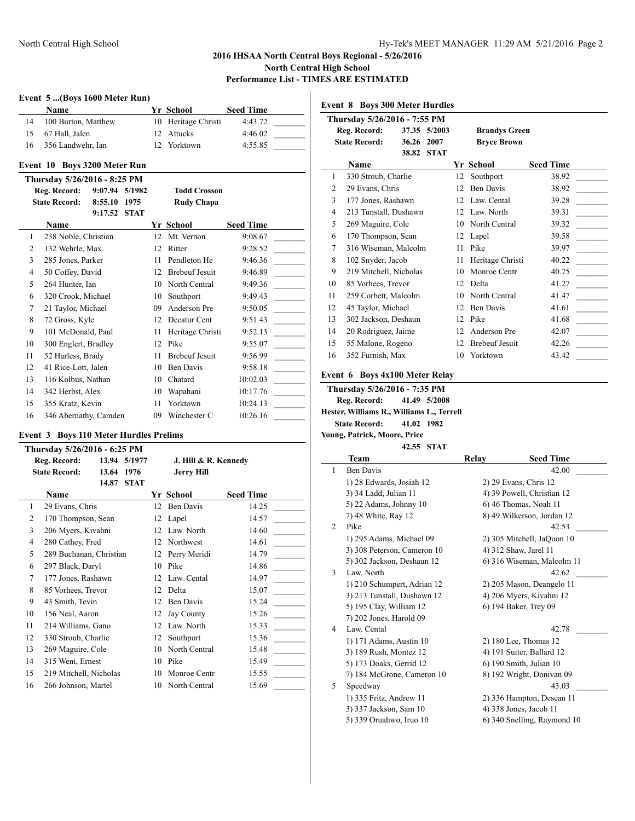### **Event 5 ...(Boys 1600 Meter Run)**

|    | Name                         |  | Yr School           | <b>Seed Time</b> |  |
|----|------------------------------|--|---------------------|------------------|--|
| 14 | 100 Burton, Matthew          |  | 10 Heritage Christi | 4:43.72          |  |
| 15 | 67 Hall, Jalen               |  | 12 Attucks          | 4:46.02          |  |
| 16 | 356 Landwehr, Ian            |  | 12 Yorktown         | 4:55.85          |  |
|    | Event 10 Boys 3200 Meter Run |  |                     |                  |  |

# **Thursday 5/26/2016 - 8:25 PM**

|                | 1 HUI SUAV <i>3/4</i> 0/2010 - 0.23 1 M |         |             |    |                       |                  |  |  |
|----------------|-----------------------------------------|---------|-------------|----|-----------------------|------------------|--|--|
|                | Reg. Record:                            | 9:07.94 | 5/1982      |    | <b>Todd Crosson</b>   |                  |  |  |
|                | <b>State Record:</b>                    | 8:55.10 | 1975        |    | <b>Rudy Chapa</b>     |                  |  |  |
|                |                                         | 9:17.52 | <b>STAT</b> |    |                       |                  |  |  |
|                | <b>Name</b>                             |         |             |    | Yr School             | <b>Seed Time</b> |  |  |
| 1              | 238 Noble, Christian                    |         |             | 12 | Mt. Vernon            | 9:08.67          |  |  |
| $\overline{2}$ | 132 Wehrle, Max                         |         |             | 12 | Ritter                | 9:28.52          |  |  |
| 3              | 285 Jones, Parker                       |         |             | 11 | Pendleton He          | 9:46.36          |  |  |
| $\overline{4}$ | 50 Coffey, David                        |         |             | 12 | <b>Brebeuf Jesuit</b> | 9:46.89          |  |  |
| 5              | 264 Hunter, Ian                         |         |             | 10 | North Central         | 9:49.36          |  |  |
| 6              | 320 Crook, Michael                      |         |             | 10 | Southport             | 9:49.43          |  |  |
| 7              | 21 Taylor, Michael                      |         |             | 09 | Anderson Pre          | 9:50.05          |  |  |
| 8              | 72 Gross, Kyle                          |         |             | 12 | Decatur Cent          | 9:51.43          |  |  |
| 9              | 101 McDonald, Paul                      |         |             | 11 | Heritage Christi      | 9:52.13          |  |  |
| 10             | 300 Englert, Bradley                    |         |             | 12 | Pike                  | 9:55.07          |  |  |
| 11             | 52 Harless, Brady                       |         |             | 11 | <b>Brebeuf Jesuit</b> | 9:56.99          |  |  |
| 12             | 41 Rice-Lott, Jalen                     |         |             | 10 | Ben Davis             | 9:58.18          |  |  |
| 13             | 116 Kolbus, Nathan                      |         |             | 10 | Chatard               | 10:02.03         |  |  |
| 14             | 342 Herbst, Alex                        |         |             | 10 | Wapahani              | 10:17.76         |  |  |
| 15             | 355 Kratz, Kevin                        |         |             | 11 | Yorktown              | 10:24.13         |  |  |
| 16             | 346 Abernathy, Camden                   |         |             | 09 | Winchester C          | 10:26.16         |  |  |

#### **Event 3 Boys 110 Meter Hurdles Prelims**

|    | Thursday 5/26/2016 - 6:25 PM |       |             |    |                      |                  |  |  |
|----|------------------------------|-------|-------------|----|----------------------|------------------|--|--|
|    | Reg. Record:                 | 13.94 | 5/1977      |    | J. Hill & R. Kennedy |                  |  |  |
|    | <b>State Record:</b>         | 13.64 | 1976        |    | <b>Jerry Hill</b>    |                  |  |  |
|    |                              | 14.87 | <b>STAT</b> |    |                      |                  |  |  |
|    | Name                         |       |             |    | Yr School            | <b>Seed Time</b> |  |  |
| 1  | 29 Evans, Chris              |       |             | 12 | Ben Davis            | 14.25            |  |  |
| 2  | 170 Thompson, Sean           |       |             | 12 | Lapel                | 14.57            |  |  |
| 3  | 206 Myers, Kivahni           |       |             | 12 | Law. North           | 14.60            |  |  |
| 4  | 280 Cathey, Fred             |       |             | 12 | Northwest            | 14.61            |  |  |
| 5  | 289 Buchanan, Christian      |       |             | 12 | Perry Meridi         | 14.79            |  |  |
| 6  | 297 Black, Daryl             |       |             | 10 | Pike                 | 14.86            |  |  |
| 7  | 177 Jones, Rashawn           |       |             | 12 | Law. Cental          | 14.97            |  |  |
| 8  | 85 Vorhees, Trevor           |       |             | 12 | Delta                | 15.07            |  |  |
| 9  | 43 Smith, Tevin              |       |             | 12 | Ben Davis            | 15.24            |  |  |
| 10 | 156 Neal, Aaron              |       |             | 12 | Jay County           | 15.26            |  |  |
| 11 | 214 Williams, Gano           |       |             | 12 | Law. North           | 15.33            |  |  |
| 12 | 330 Stroub, Charlie          |       |             | 12 | Southport            | 15.36            |  |  |
| 13 | 269 Maguire, Cole            |       |             | 10 | North Central        | 15.48            |  |  |
| 14 | 315 Weni, Ernest             |       |             | 10 | Pike                 | 15.49            |  |  |
| 15 | 219 Mitchell, Nicholas       |       |             | 10 | Monroe Centr         | 15.55            |  |  |
| 16 | 266 Johnson, Martel          |       |             | 10 | North Central        | 15.69            |  |  |
|    |                              |       |             |    |                      |                  |  |  |

|    | <b>Event 8 Boys 300 Meter Hurdles</b> |       |              |    |                       |                  |
|----|---------------------------------------|-------|--------------|----|-----------------------|------------------|
|    | Thursday 5/26/2016 - 7:55 PM          |       |              |    |                       |                  |
|    | Reg. Record:                          |       | 37.35 5/2003 |    | <b>Brandys Green</b>  |                  |
|    | <b>State Record:</b>                  | 36.26 | 2007         |    | <b>Bryce Brown</b>    |                  |
|    |                                       | 38.82 | <b>STAT</b>  |    |                       |                  |
|    | <b>Name</b>                           |       |              |    | Yr School             | <b>Seed Time</b> |
| 1  | 330 Stroub, Charlie                   |       |              | 12 | Southport             | 38.92            |
| 2  | 29 Evans, Chris                       |       |              | 12 | <b>Ben Davis</b>      | 38.92            |
| 3  | 177 Jones, Rashawn                    |       |              | 12 | Law. Cental           | 39.28            |
| 4  | 213 Tunstall, Dushawn                 |       |              | 12 | Law. North            | 39.31            |
| 5  | 269 Maguire, Cole                     |       |              | 10 | North Central         | 39.32            |
| 6  | 170 Thompson, Sean                    |       |              | 12 | Lapel                 | 39.58            |
| 7  | 316 Wiseman, Malcolm                  |       |              | 11 | Pike                  | 39.97            |
| 8  | 102 Snyder, Jacob                     |       |              | 11 | Heritage Christi      | 40.22            |
| 9  | 219 Mitchell, Nicholas                |       |              | 10 | Monroe Centr          | 40.75            |
| 10 | 85 Vorhees, Trevor                    |       |              | 12 | Delta                 | 41.27            |
| 11 | 259 Corbett, Malcolm                  |       |              | 10 | North Central         | 41.47            |
| 12 | 45 Taylor, Michael                    |       |              | 12 | <b>Ben Davis</b>      | 41.61            |
| 13 | 302 Jackson, Deshaun                  |       |              | 12 | Pike                  | 41.68            |
| 14 | 20 Rodriguez, Jaime                   |       |              | 12 | Anderson Pre          | 42.07            |
| 15 | 55 Malone, Rogeno                     |       |              | 12 | <b>Brebeuf Jesuit</b> | 42.26            |
| 16 | 352 Furnish, Max                      |       |              | 10 | Yorktown              | 43.42            |
|    |                                       |       |              |    |                       |                  |

### **Event 6 Boys 4x100 Meter Relay**

**Thursday 5/26/2016 - 7:35 PM Reg. Record: 41.49 5/2008 Hester, Williams R., Williams L., Terrell State Record: 41.02 1982 Young, Patrick, Moore, Price**

#### **42.55 STAT**

|   | Team                        | Relay | <b>Seed Time</b>            |
|---|-----------------------------|-------|-----------------------------|
| 1 | <b>Ben Davis</b>            |       | 42.00                       |
|   | 1) 28 Edwards, Josiah 12    |       | 2) 29 Evans, Chris 12       |
|   | 3) 34 Ladd, Julian 11       |       | 4) 39 Powell, Christian 12  |
|   | 5) 22 Adams, Johnny 10      |       | 6) 46 Thomas, Noah 11       |
|   | 7) 48 White, Ray 12         |       | 8) 49 Wilkerson, Jordan 12  |
| 2 | Pike                        |       | 42.53                       |
|   | 1) 295 Adams, Michael 09    |       | 2) 305 Mitchell, JaQuon 10  |
|   | 3) 308 Peterson, Cameron 10 |       | 4) 312 Shaw, Jarel 11       |
|   | 5) 302 Jackson, Deshaun 12  |       | 6) 316 Wiseman, Malcolm 11  |
| 3 | Law. North                  |       | 42.62                       |
|   | 1) 210 Schumpert, Adrian 12 |       | 2) 205 Mason, Deangelo 11   |
|   | 3) 213 Tunstall, Dushawn 12 |       | 4) 206 Myers, Kivahni 12    |
|   | 5) 195 Clay, William 12     |       | 6) 194 Baker, Trey 09       |
|   | 7) 202 Jones, Harold 09     |       |                             |
| 4 | Law. Cental                 |       | 42.78                       |
|   | 1) 171 Adams, Austin 10     |       | 2) 180 Lee, Thomas 12       |
|   | 3) 189 Rush, Montez 12      |       | 4) 191 Suiter, Ballard 12   |
|   | 5) 173 Doaks, Gerrid 12     |       | 6) 190 Smith, Julian 10     |
|   | 7) 184 McGrone, Cameron 10  |       | 8) 192 Wright, Donivan 09   |
| 5 | Speedway                    |       | 43.03                       |
|   | 1) 335 Fritz, Andrew 11     |       | 2) 336 Hampton, Desean 11   |
|   | 3) 337 Jackson, Sam 10      |       | 4) 338 Jones, Jacob 11      |
|   | 5) 339 Oruahwo, Iruo 10     |       | 6) 340 Snelling, Raymond 10 |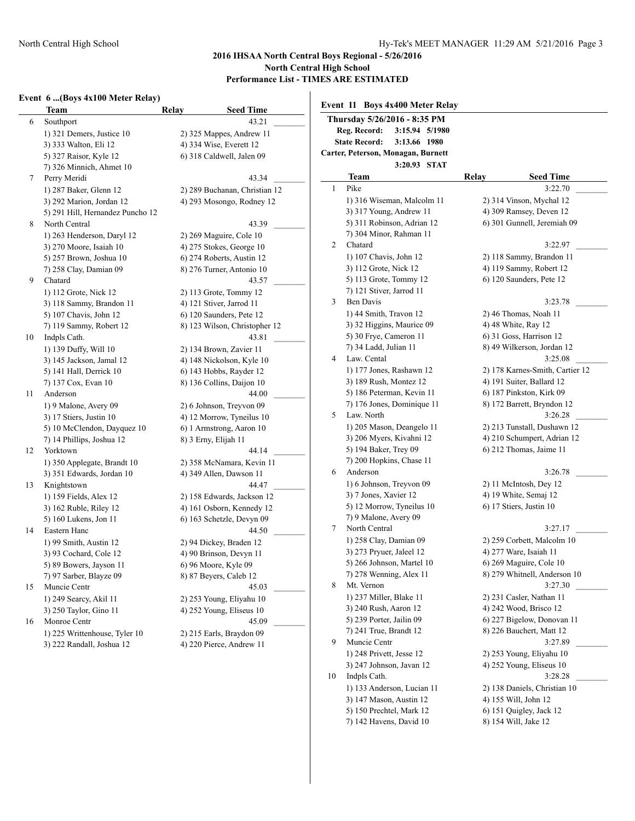$\mathbf{I}$ 

# **Event 6 ...(Boys 4x100 Meter Relay)**

| Thursday 5/26/2016 - 8:35 PM<br>43.21<br>Southport<br>Reg. Record:<br>3:15.94 5/1980<br>1) 321 Demers, Justice 10<br>2) 325 Mappes, Andrew 11<br><b>State Record:</b><br>3:13.66 1980<br>4) 334 Wise, Everett 12<br>3) 333 Walton, Eli 12<br>Carter, Peterson, Monagan, Burnett<br>6) 318 Caldwell, Jalen 09<br>5) 327 Raisor, Kyle 12<br>3:20.93 STAT<br>7) 326 Minnich, Ahmet 10<br><b>Seed Time</b><br><b>Team</b><br>Relay<br>43.34<br>Perry Meridi<br>3:22.70<br>Pike<br>1<br>2) 289 Buchanan, Christian 12<br>1) 287 Baker, Glenn 12<br>1) 316 Wiseman, Malcolm 11<br>2) 314 Vinson, Mychal 12<br>4) 293 Mosongo, Rodney 12<br>3) 292 Marion, Jordan 12<br>3) 317 Young, Andrew 11<br>4) 309 Ramsey, Deven 12<br>5) 291 Hill, Hernandez Puncho 12<br>6) 301 Gunnell, Jeremiah 09<br>5) 311 Robinson, Adrian 12<br>North Central<br>43.39<br>7) 304 Minor, Rahman 11<br>1) 263 Henderson, Daryl 12<br>2) 269 Maguire, Cole 10<br>3:22.97<br>2<br>Chatard<br>4) 275 Stokes, George 10<br>3) 270 Moore, Isaiah 10<br>1) 107 Chavis, John 12<br>2) 118 Sammy, Brandon 11<br>5) 257 Brown, Joshua 10<br>6) 274 Roberts, Austin 12<br>3) 112 Grote, Nick 12<br>4) 119 Sammy, Robert 12<br>8) 276 Turner, Antonio 10<br>7) 258 Clay, Damian 09<br>5) 113 Grote, Tommy 12<br>6) 120 Saunders, Pete 12<br>43.57<br>Chatard<br>7) 121 Stiver, Jarrod 11<br>1) 112 Grote, Nick 12<br>2) 113 Grote, Tommy 12<br><b>Ben Davis</b><br>3<br>3:23.78<br>3) 118 Sammy, Brandon 11<br>4) 121 Stiver, Jarrod 11<br>1) 44 Smith, Travon 12<br>2) 46 Thomas, Noah 11<br>5) 107 Chavis, John 12<br>6) 120 Saunders, Pete 12<br>3) 32 Higgins, Maurice 09<br>4) 48 White, Ray 12<br>8) 123 Wilson, Christopher 12<br>7) 119 Sammy, Robert 12<br>5) 30 Frye, Cameron 11<br>6) 31 Goss, Harrison 12<br>Indpls Cath.<br>43.81<br>7) 34 Ladd, Julian 11<br>8) 49 Wilkerson, Jordan 12<br>2) 134 Brown, Zavier 11<br>1) 139 Duffy, Will 10<br>3:25.08<br>Law. Cental<br>4<br>3) 145 Jackson, Jamal 12<br>4) 148 Nickolson, Kyle 10<br>2) 178 Karnes-Smith, Cartier 12<br>1) 177 Jones, Rashawn 12<br>5) 141 Hall, Derrick 10<br>6) 143 Hobbs, Rayder 12<br>3) 189 Rush, Montez 12<br>4) 191 Suiter, Ballard 12<br>7) 137 Cox, Evan 10<br>8) 136 Collins, Daijon 10<br>5) 186 Peterman, Kevin 11<br>6) 187 Pinkston, Kirk 09<br>44.00<br>Anderson<br>7) 176 Jones, Dominique 11<br>8) 172 Barrett, Bryndon 12<br>1) 9 Malone, Avery 09<br>2) 6 Johnson, Treyvon 09<br>3:26.28<br>5<br>Law. North<br>3) 17 Stiers, Justin 10<br>4) 12 Morrow, Tyneilus 10<br>2) 213 Tunstall, Dushawn 12<br>1) 205 Mason, Deangelo 11<br>5) 10 McClendon, Dayquez 10<br>6) 1 Armstrong, Aaron 10<br>3) 206 Myers, Kivahni 12<br>4) 210 Schumpert, Adrian 12<br>7) 14 Phillips, Joshua 12<br>8) 3 Erny, Elijah 11<br>5) 194 Baker, Trey 09<br>6) 212 Thomas, Jaime 11<br>Yorktown<br>44.14<br>7) 200 Hopkins, Chase 11<br>2) 358 McNamara, Kevin 11<br>1) 350 Applegate, Brandt 10<br>3:26.78<br>Anderson<br>6<br>3) 351 Edwards, Jordan 10<br>4) 349 Allen, Dawson 11<br>1) 6 Johnson, Treyvon 09<br>2) 11 McIntosh, Dey 12<br>Knightstown<br>44.47<br>4) 19 White, Semaj 12<br>3) 7 Jones, Xavier 12<br>2) 158 Edwards, Jackson 12<br>1) 159 Fields, Alex 12<br>5) 12 Morrow, Tyneilus 10<br>6) 17 Stiers, Justin 10<br>4) 161 Osborn, Kennedy 12<br>3) 162 Ruble, Riley 12<br>7) 9 Malone, Avery 09<br>5) 160 Lukens, Jon 11<br>6) 163 Schetzle, Devyn 09<br>North Central<br>3:27.17<br>7<br>44.50<br>Eastern Hanc<br>1) 258 Clay, Damian 09<br>2) 259 Corbett, Malcolm 10<br>1) 99 Smith, Austin 12<br>2) 94 Dickey, Braden 12<br>3) 273 Pryuer, Jaleel 12<br>4) 277 Ware, Isaiah 11<br>4) 90 Brinson, Devyn 11<br>3) 93 Cochard, Cole 12<br>5) 266 Johnson, Martel 10<br>6) 269 Maguire, Cole 10<br>6) 96 Moore, Kyle 09<br>5) 89 Bowers, Jayson 11<br>7) 278 Wenning, Alex 11<br>8) 279 Whitnell, Anderson 10<br>8) 87 Beyers, Caleb 12<br>7) 97 Sarber, Blayze 09<br>Mt. Vernon<br>3:27.30<br>8<br>45.03<br>Muncie Centr<br>1) 237 Miller, Blake 11<br>2) 231 Casler, Nathan 11<br>1) 249 Searcy, Akil 11<br>2) 253 Young, Eliyahu 10<br>3) 240 Rush, Aaron 12<br>4) 242 Wood, Brisco 12<br>3) 250 Taylor, Gino 11<br>4) 252 Young, Eliseus 10<br>5) 239 Porter, Jailin 09<br>6) 227 Bigelow, Donovan 11<br>Monroe Centr<br>45.09<br>8) 226 Bauchert, Matt 12<br>7) 241 True, Brandt 12<br>1) 225 Writtenhouse, Tyler 10<br>2) 215 Earls, Braydon 09<br>Muncie Centr<br>3:27.89<br>9<br>3) 222 Randall, Joshua 12<br>4) 220 Pierce, Andrew 11<br>2) 253 Young, Eliyahu 10<br>1) 248 Privett, Jesse 12<br>3) 247 Johnson, Javan 12<br>4) 252 Young, Eliseus 10<br>Indpls Cath.<br>3:28.28<br>10<br>1) 133 Anderson, Lucian 11<br>2) 138 Daniels, Christian 10 | Lvent 6 (Boys 4x100 Meter Relay) | <b>Seed Time</b> | Event 11 Boys 4x400 Meter Relay |                      |
|-----------------------------------------------------------------------------------------------------------------------------------------------------------------------------------------------------------------------------------------------------------------------------------------------------------------------------------------------------------------------------------------------------------------------------------------------------------------------------------------------------------------------------------------------------------------------------------------------------------------------------------------------------------------------------------------------------------------------------------------------------------------------------------------------------------------------------------------------------------------------------------------------------------------------------------------------------------------------------------------------------------------------------------------------------------------------------------------------------------------------------------------------------------------------------------------------------------------------------------------------------------------------------------------------------------------------------------------------------------------------------------------------------------------------------------------------------------------------------------------------------------------------------------------------------------------------------------------------------------------------------------------------------------------------------------------------------------------------------------------------------------------------------------------------------------------------------------------------------------------------------------------------------------------------------------------------------------------------------------------------------------------------------------------------------------------------------------------------------------------------------------------------------------------------------------------------------------------------------------------------------------------------------------------------------------------------------------------------------------------------------------------------------------------------------------------------------------------------------------------------------------------------------------------------------------------------------------------------------------------------------------------------------------------------------------------------------------------------------------------------------------------------------------------------------------------------------------------------------------------------------------------------------------------------------------------------------------------------------------------------------------------------------------------------------------------------------------------------------------------------------------------------------------------------------------------------------------------------------------------------------------------------------------------------------------------------------------------------------------------------------------------------------------------------------------------------------------------------------------------------------------------------------------------------------------------------------------------------------------------------------------------------------------------------------------------------------------------------------------------------------------------------------------------------------------------------------------------------------------------------------------------------------------------------------------------------------------------------------------------------------------------------------------------------------------------------------------------------------------------------------------------------------------------------------------------------------------------------------------------------------------------------------------------------------------------------------------------------------------------------------------------------------------------------------------------------------------------------------------------------------------------------------------------------------------------------------------------------------------------------------------------------------------------------------------------------------------------------------|----------------------------------|------------------|---------------------------------|----------------------|
|                                                                                                                                                                                                                                                                                                                                                                                                                                                                                                                                                                                                                                                                                                                                                                                                                                                                                                                                                                                                                                                                                                                                                                                                                                                                                                                                                                                                                                                                                                                                                                                                                                                                                                                                                                                                                                                                                                                                                                                                                                                                                                                                                                                                                                                                                                                                                                                                                                                                                                                                                                                                                                                                                                                                                                                                                                                                                                                                                                                                                                                                                                                                                                                                                                                                                                                                                                                                                                                                                                                                                                                                                                                                                                                                                                                                                                                                                                                                                                                                                                                                                                                                                                                                                                                                                                                                                                                                                                                                                                                                                                                                                                                                                                                             | Team<br>6                        | Relay            |                                 |                      |
|                                                                                                                                                                                                                                                                                                                                                                                                                                                                                                                                                                                                                                                                                                                                                                                                                                                                                                                                                                                                                                                                                                                                                                                                                                                                                                                                                                                                                                                                                                                                                                                                                                                                                                                                                                                                                                                                                                                                                                                                                                                                                                                                                                                                                                                                                                                                                                                                                                                                                                                                                                                                                                                                                                                                                                                                                                                                                                                                                                                                                                                                                                                                                                                                                                                                                                                                                                                                                                                                                                                                                                                                                                                                                                                                                                                                                                                                                                                                                                                                                                                                                                                                                                                                                                                                                                                                                                                                                                                                                                                                                                                                                                                                                                                             |                                  |                  |                                 |                      |
|                                                                                                                                                                                                                                                                                                                                                                                                                                                                                                                                                                                                                                                                                                                                                                                                                                                                                                                                                                                                                                                                                                                                                                                                                                                                                                                                                                                                                                                                                                                                                                                                                                                                                                                                                                                                                                                                                                                                                                                                                                                                                                                                                                                                                                                                                                                                                                                                                                                                                                                                                                                                                                                                                                                                                                                                                                                                                                                                                                                                                                                                                                                                                                                                                                                                                                                                                                                                                                                                                                                                                                                                                                                                                                                                                                                                                                                                                                                                                                                                                                                                                                                                                                                                                                                                                                                                                                                                                                                                                                                                                                                                                                                                                                                             |                                  |                  |                                 |                      |
|                                                                                                                                                                                                                                                                                                                                                                                                                                                                                                                                                                                                                                                                                                                                                                                                                                                                                                                                                                                                                                                                                                                                                                                                                                                                                                                                                                                                                                                                                                                                                                                                                                                                                                                                                                                                                                                                                                                                                                                                                                                                                                                                                                                                                                                                                                                                                                                                                                                                                                                                                                                                                                                                                                                                                                                                                                                                                                                                                                                                                                                                                                                                                                                                                                                                                                                                                                                                                                                                                                                                                                                                                                                                                                                                                                                                                                                                                                                                                                                                                                                                                                                                                                                                                                                                                                                                                                                                                                                                                                                                                                                                                                                                                                                             |                                  |                  |                                 |                      |
|                                                                                                                                                                                                                                                                                                                                                                                                                                                                                                                                                                                                                                                                                                                                                                                                                                                                                                                                                                                                                                                                                                                                                                                                                                                                                                                                                                                                                                                                                                                                                                                                                                                                                                                                                                                                                                                                                                                                                                                                                                                                                                                                                                                                                                                                                                                                                                                                                                                                                                                                                                                                                                                                                                                                                                                                                                                                                                                                                                                                                                                                                                                                                                                                                                                                                                                                                                                                                                                                                                                                                                                                                                                                                                                                                                                                                                                                                                                                                                                                                                                                                                                                                                                                                                                                                                                                                                                                                                                                                                                                                                                                                                                                                                                             |                                  |                  |                                 |                      |
|                                                                                                                                                                                                                                                                                                                                                                                                                                                                                                                                                                                                                                                                                                                                                                                                                                                                                                                                                                                                                                                                                                                                                                                                                                                                                                                                                                                                                                                                                                                                                                                                                                                                                                                                                                                                                                                                                                                                                                                                                                                                                                                                                                                                                                                                                                                                                                                                                                                                                                                                                                                                                                                                                                                                                                                                                                                                                                                                                                                                                                                                                                                                                                                                                                                                                                                                                                                                                                                                                                                                                                                                                                                                                                                                                                                                                                                                                                                                                                                                                                                                                                                                                                                                                                                                                                                                                                                                                                                                                                                                                                                                                                                                                                                             | 7                                |                  |                                 |                      |
|                                                                                                                                                                                                                                                                                                                                                                                                                                                                                                                                                                                                                                                                                                                                                                                                                                                                                                                                                                                                                                                                                                                                                                                                                                                                                                                                                                                                                                                                                                                                                                                                                                                                                                                                                                                                                                                                                                                                                                                                                                                                                                                                                                                                                                                                                                                                                                                                                                                                                                                                                                                                                                                                                                                                                                                                                                                                                                                                                                                                                                                                                                                                                                                                                                                                                                                                                                                                                                                                                                                                                                                                                                                                                                                                                                                                                                                                                                                                                                                                                                                                                                                                                                                                                                                                                                                                                                                                                                                                                                                                                                                                                                                                                                                             |                                  |                  |                                 |                      |
|                                                                                                                                                                                                                                                                                                                                                                                                                                                                                                                                                                                                                                                                                                                                                                                                                                                                                                                                                                                                                                                                                                                                                                                                                                                                                                                                                                                                                                                                                                                                                                                                                                                                                                                                                                                                                                                                                                                                                                                                                                                                                                                                                                                                                                                                                                                                                                                                                                                                                                                                                                                                                                                                                                                                                                                                                                                                                                                                                                                                                                                                                                                                                                                                                                                                                                                                                                                                                                                                                                                                                                                                                                                                                                                                                                                                                                                                                                                                                                                                                                                                                                                                                                                                                                                                                                                                                                                                                                                                                                                                                                                                                                                                                                                             |                                  |                  |                                 |                      |
|                                                                                                                                                                                                                                                                                                                                                                                                                                                                                                                                                                                                                                                                                                                                                                                                                                                                                                                                                                                                                                                                                                                                                                                                                                                                                                                                                                                                                                                                                                                                                                                                                                                                                                                                                                                                                                                                                                                                                                                                                                                                                                                                                                                                                                                                                                                                                                                                                                                                                                                                                                                                                                                                                                                                                                                                                                                                                                                                                                                                                                                                                                                                                                                                                                                                                                                                                                                                                                                                                                                                                                                                                                                                                                                                                                                                                                                                                                                                                                                                                                                                                                                                                                                                                                                                                                                                                                                                                                                                                                                                                                                                                                                                                                                             |                                  |                  |                                 |                      |
|                                                                                                                                                                                                                                                                                                                                                                                                                                                                                                                                                                                                                                                                                                                                                                                                                                                                                                                                                                                                                                                                                                                                                                                                                                                                                                                                                                                                                                                                                                                                                                                                                                                                                                                                                                                                                                                                                                                                                                                                                                                                                                                                                                                                                                                                                                                                                                                                                                                                                                                                                                                                                                                                                                                                                                                                                                                                                                                                                                                                                                                                                                                                                                                                                                                                                                                                                                                                                                                                                                                                                                                                                                                                                                                                                                                                                                                                                                                                                                                                                                                                                                                                                                                                                                                                                                                                                                                                                                                                                                                                                                                                                                                                                                                             | 8                                |                  |                                 |                      |
|                                                                                                                                                                                                                                                                                                                                                                                                                                                                                                                                                                                                                                                                                                                                                                                                                                                                                                                                                                                                                                                                                                                                                                                                                                                                                                                                                                                                                                                                                                                                                                                                                                                                                                                                                                                                                                                                                                                                                                                                                                                                                                                                                                                                                                                                                                                                                                                                                                                                                                                                                                                                                                                                                                                                                                                                                                                                                                                                                                                                                                                                                                                                                                                                                                                                                                                                                                                                                                                                                                                                                                                                                                                                                                                                                                                                                                                                                                                                                                                                                                                                                                                                                                                                                                                                                                                                                                                                                                                                                                                                                                                                                                                                                                                             |                                  |                  |                                 |                      |
|                                                                                                                                                                                                                                                                                                                                                                                                                                                                                                                                                                                                                                                                                                                                                                                                                                                                                                                                                                                                                                                                                                                                                                                                                                                                                                                                                                                                                                                                                                                                                                                                                                                                                                                                                                                                                                                                                                                                                                                                                                                                                                                                                                                                                                                                                                                                                                                                                                                                                                                                                                                                                                                                                                                                                                                                                                                                                                                                                                                                                                                                                                                                                                                                                                                                                                                                                                                                                                                                                                                                                                                                                                                                                                                                                                                                                                                                                                                                                                                                                                                                                                                                                                                                                                                                                                                                                                                                                                                                                                                                                                                                                                                                                                                             |                                  |                  |                                 |                      |
|                                                                                                                                                                                                                                                                                                                                                                                                                                                                                                                                                                                                                                                                                                                                                                                                                                                                                                                                                                                                                                                                                                                                                                                                                                                                                                                                                                                                                                                                                                                                                                                                                                                                                                                                                                                                                                                                                                                                                                                                                                                                                                                                                                                                                                                                                                                                                                                                                                                                                                                                                                                                                                                                                                                                                                                                                                                                                                                                                                                                                                                                                                                                                                                                                                                                                                                                                                                                                                                                                                                                                                                                                                                                                                                                                                                                                                                                                                                                                                                                                                                                                                                                                                                                                                                                                                                                                                                                                                                                                                                                                                                                                                                                                                                             |                                  |                  |                                 |                      |
|                                                                                                                                                                                                                                                                                                                                                                                                                                                                                                                                                                                                                                                                                                                                                                                                                                                                                                                                                                                                                                                                                                                                                                                                                                                                                                                                                                                                                                                                                                                                                                                                                                                                                                                                                                                                                                                                                                                                                                                                                                                                                                                                                                                                                                                                                                                                                                                                                                                                                                                                                                                                                                                                                                                                                                                                                                                                                                                                                                                                                                                                                                                                                                                                                                                                                                                                                                                                                                                                                                                                                                                                                                                                                                                                                                                                                                                                                                                                                                                                                                                                                                                                                                                                                                                                                                                                                                                                                                                                                                                                                                                                                                                                                                                             |                                  |                  |                                 |                      |
|                                                                                                                                                                                                                                                                                                                                                                                                                                                                                                                                                                                                                                                                                                                                                                                                                                                                                                                                                                                                                                                                                                                                                                                                                                                                                                                                                                                                                                                                                                                                                                                                                                                                                                                                                                                                                                                                                                                                                                                                                                                                                                                                                                                                                                                                                                                                                                                                                                                                                                                                                                                                                                                                                                                                                                                                                                                                                                                                                                                                                                                                                                                                                                                                                                                                                                                                                                                                                                                                                                                                                                                                                                                                                                                                                                                                                                                                                                                                                                                                                                                                                                                                                                                                                                                                                                                                                                                                                                                                                                                                                                                                                                                                                                                             | 9                                |                  |                                 |                      |
|                                                                                                                                                                                                                                                                                                                                                                                                                                                                                                                                                                                                                                                                                                                                                                                                                                                                                                                                                                                                                                                                                                                                                                                                                                                                                                                                                                                                                                                                                                                                                                                                                                                                                                                                                                                                                                                                                                                                                                                                                                                                                                                                                                                                                                                                                                                                                                                                                                                                                                                                                                                                                                                                                                                                                                                                                                                                                                                                                                                                                                                                                                                                                                                                                                                                                                                                                                                                                                                                                                                                                                                                                                                                                                                                                                                                                                                                                                                                                                                                                                                                                                                                                                                                                                                                                                                                                                                                                                                                                                                                                                                                                                                                                                                             |                                  |                  |                                 |                      |
|                                                                                                                                                                                                                                                                                                                                                                                                                                                                                                                                                                                                                                                                                                                                                                                                                                                                                                                                                                                                                                                                                                                                                                                                                                                                                                                                                                                                                                                                                                                                                                                                                                                                                                                                                                                                                                                                                                                                                                                                                                                                                                                                                                                                                                                                                                                                                                                                                                                                                                                                                                                                                                                                                                                                                                                                                                                                                                                                                                                                                                                                                                                                                                                                                                                                                                                                                                                                                                                                                                                                                                                                                                                                                                                                                                                                                                                                                                                                                                                                                                                                                                                                                                                                                                                                                                                                                                                                                                                                                                                                                                                                                                                                                                                             |                                  |                  |                                 |                      |
|                                                                                                                                                                                                                                                                                                                                                                                                                                                                                                                                                                                                                                                                                                                                                                                                                                                                                                                                                                                                                                                                                                                                                                                                                                                                                                                                                                                                                                                                                                                                                                                                                                                                                                                                                                                                                                                                                                                                                                                                                                                                                                                                                                                                                                                                                                                                                                                                                                                                                                                                                                                                                                                                                                                                                                                                                                                                                                                                                                                                                                                                                                                                                                                                                                                                                                                                                                                                                                                                                                                                                                                                                                                                                                                                                                                                                                                                                                                                                                                                                                                                                                                                                                                                                                                                                                                                                                                                                                                                                                                                                                                                                                                                                                                             |                                  |                  |                                 |                      |
|                                                                                                                                                                                                                                                                                                                                                                                                                                                                                                                                                                                                                                                                                                                                                                                                                                                                                                                                                                                                                                                                                                                                                                                                                                                                                                                                                                                                                                                                                                                                                                                                                                                                                                                                                                                                                                                                                                                                                                                                                                                                                                                                                                                                                                                                                                                                                                                                                                                                                                                                                                                                                                                                                                                                                                                                                                                                                                                                                                                                                                                                                                                                                                                                                                                                                                                                                                                                                                                                                                                                                                                                                                                                                                                                                                                                                                                                                                                                                                                                                                                                                                                                                                                                                                                                                                                                                                                                                                                                                                                                                                                                                                                                                                                             |                                  |                  |                                 |                      |
|                                                                                                                                                                                                                                                                                                                                                                                                                                                                                                                                                                                                                                                                                                                                                                                                                                                                                                                                                                                                                                                                                                                                                                                                                                                                                                                                                                                                                                                                                                                                                                                                                                                                                                                                                                                                                                                                                                                                                                                                                                                                                                                                                                                                                                                                                                                                                                                                                                                                                                                                                                                                                                                                                                                                                                                                                                                                                                                                                                                                                                                                                                                                                                                                                                                                                                                                                                                                                                                                                                                                                                                                                                                                                                                                                                                                                                                                                                                                                                                                                                                                                                                                                                                                                                                                                                                                                                                                                                                                                                                                                                                                                                                                                                                             | 10                               |                  |                                 |                      |
|                                                                                                                                                                                                                                                                                                                                                                                                                                                                                                                                                                                                                                                                                                                                                                                                                                                                                                                                                                                                                                                                                                                                                                                                                                                                                                                                                                                                                                                                                                                                                                                                                                                                                                                                                                                                                                                                                                                                                                                                                                                                                                                                                                                                                                                                                                                                                                                                                                                                                                                                                                                                                                                                                                                                                                                                                                                                                                                                                                                                                                                                                                                                                                                                                                                                                                                                                                                                                                                                                                                                                                                                                                                                                                                                                                                                                                                                                                                                                                                                                                                                                                                                                                                                                                                                                                                                                                                                                                                                                                                                                                                                                                                                                                                             |                                  |                  |                                 |                      |
|                                                                                                                                                                                                                                                                                                                                                                                                                                                                                                                                                                                                                                                                                                                                                                                                                                                                                                                                                                                                                                                                                                                                                                                                                                                                                                                                                                                                                                                                                                                                                                                                                                                                                                                                                                                                                                                                                                                                                                                                                                                                                                                                                                                                                                                                                                                                                                                                                                                                                                                                                                                                                                                                                                                                                                                                                                                                                                                                                                                                                                                                                                                                                                                                                                                                                                                                                                                                                                                                                                                                                                                                                                                                                                                                                                                                                                                                                                                                                                                                                                                                                                                                                                                                                                                                                                                                                                                                                                                                                                                                                                                                                                                                                                                             |                                  |                  |                                 |                      |
|                                                                                                                                                                                                                                                                                                                                                                                                                                                                                                                                                                                                                                                                                                                                                                                                                                                                                                                                                                                                                                                                                                                                                                                                                                                                                                                                                                                                                                                                                                                                                                                                                                                                                                                                                                                                                                                                                                                                                                                                                                                                                                                                                                                                                                                                                                                                                                                                                                                                                                                                                                                                                                                                                                                                                                                                                                                                                                                                                                                                                                                                                                                                                                                                                                                                                                                                                                                                                                                                                                                                                                                                                                                                                                                                                                                                                                                                                                                                                                                                                                                                                                                                                                                                                                                                                                                                                                                                                                                                                                                                                                                                                                                                                                                             |                                  |                  |                                 |                      |
|                                                                                                                                                                                                                                                                                                                                                                                                                                                                                                                                                                                                                                                                                                                                                                                                                                                                                                                                                                                                                                                                                                                                                                                                                                                                                                                                                                                                                                                                                                                                                                                                                                                                                                                                                                                                                                                                                                                                                                                                                                                                                                                                                                                                                                                                                                                                                                                                                                                                                                                                                                                                                                                                                                                                                                                                                                                                                                                                                                                                                                                                                                                                                                                                                                                                                                                                                                                                                                                                                                                                                                                                                                                                                                                                                                                                                                                                                                                                                                                                                                                                                                                                                                                                                                                                                                                                                                                                                                                                                                                                                                                                                                                                                                                             |                                  |                  |                                 |                      |
|                                                                                                                                                                                                                                                                                                                                                                                                                                                                                                                                                                                                                                                                                                                                                                                                                                                                                                                                                                                                                                                                                                                                                                                                                                                                                                                                                                                                                                                                                                                                                                                                                                                                                                                                                                                                                                                                                                                                                                                                                                                                                                                                                                                                                                                                                                                                                                                                                                                                                                                                                                                                                                                                                                                                                                                                                                                                                                                                                                                                                                                                                                                                                                                                                                                                                                                                                                                                                                                                                                                                                                                                                                                                                                                                                                                                                                                                                                                                                                                                                                                                                                                                                                                                                                                                                                                                                                                                                                                                                                                                                                                                                                                                                                                             | 11                               |                  |                                 |                      |
|                                                                                                                                                                                                                                                                                                                                                                                                                                                                                                                                                                                                                                                                                                                                                                                                                                                                                                                                                                                                                                                                                                                                                                                                                                                                                                                                                                                                                                                                                                                                                                                                                                                                                                                                                                                                                                                                                                                                                                                                                                                                                                                                                                                                                                                                                                                                                                                                                                                                                                                                                                                                                                                                                                                                                                                                                                                                                                                                                                                                                                                                                                                                                                                                                                                                                                                                                                                                                                                                                                                                                                                                                                                                                                                                                                                                                                                                                                                                                                                                                                                                                                                                                                                                                                                                                                                                                                                                                                                                                                                                                                                                                                                                                                                             |                                  |                  |                                 |                      |
|                                                                                                                                                                                                                                                                                                                                                                                                                                                                                                                                                                                                                                                                                                                                                                                                                                                                                                                                                                                                                                                                                                                                                                                                                                                                                                                                                                                                                                                                                                                                                                                                                                                                                                                                                                                                                                                                                                                                                                                                                                                                                                                                                                                                                                                                                                                                                                                                                                                                                                                                                                                                                                                                                                                                                                                                                                                                                                                                                                                                                                                                                                                                                                                                                                                                                                                                                                                                                                                                                                                                                                                                                                                                                                                                                                                                                                                                                                                                                                                                                                                                                                                                                                                                                                                                                                                                                                                                                                                                                                                                                                                                                                                                                                                             |                                  |                  |                                 |                      |
|                                                                                                                                                                                                                                                                                                                                                                                                                                                                                                                                                                                                                                                                                                                                                                                                                                                                                                                                                                                                                                                                                                                                                                                                                                                                                                                                                                                                                                                                                                                                                                                                                                                                                                                                                                                                                                                                                                                                                                                                                                                                                                                                                                                                                                                                                                                                                                                                                                                                                                                                                                                                                                                                                                                                                                                                                                                                                                                                                                                                                                                                                                                                                                                                                                                                                                                                                                                                                                                                                                                                                                                                                                                                                                                                                                                                                                                                                                                                                                                                                                                                                                                                                                                                                                                                                                                                                                                                                                                                                                                                                                                                                                                                                                                             |                                  |                  |                                 |                      |
|                                                                                                                                                                                                                                                                                                                                                                                                                                                                                                                                                                                                                                                                                                                                                                                                                                                                                                                                                                                                                                                                                                                                                                                                                                                                                                                                                                                                                                                                                                                                                                                                                                                                                                                                                                                                                                                                                                                                                                                                                                                                                                                                                                                                                                                                                                                                                                                                                                                                                                                                                                                                                                                                                                                                                                                                                                                                                                                                                                                                                                                                                                                                                                                                                                                                                                                                                                                                                                                                                                                                                                                                                                                                                                                                                                                                                                                                                                                                                                                                                                                                                                                                                                                                                                                                                                                                                                                                                                                                                                                                                                                                                                                                                                                             |                                  |                  |                                 |                      |
|                                                                                                                                                                                                                                                                                                                                                                                                                                                                                                                                                                                                                                                                                                                                                                                                                                                                                                                                                                                                                                                                                                                                                                                                                                                                                                                                                                                                                                                                                                                                                                                                                                                                                                                                                                                                                                                                                                                                                                                                                                                                                                                                                                                                                                                                                                                                                                                                                                                                                                                                                                                                                                                                                                                                                                                                                                                                                                                                                                                                                                                                                                                                                                                                                                                                                                                                                                                                                                                                                                                                                                                                                                                                                                                                                                                                                                                                                                                                                                                                                                                                                                                                                                                                                                                                                                                                                                                                                                                                                                                                                                                                                                                                                                                             | 12                               |                  |                                 |                      |
|                                                                                                                                                                                                                                                                                                                                                                                                                                                                                                                                                                                                                                                                                                                                                                                                                                                                                                                                                                                                                                                                                                                                                                                                                                                                                                                                                                                                                                                                                                                                                                                                                                                                                                                                                                                                                                                                                                                                                                                                                                                                                                                                                                                                                                                                                                                                                                                                                                                                                                                                                                                                                                                                                                                                                                                                                                                                                                                                                                                                                                                                                                                                                                                                                                                                                                                                                                                                                                                                                                                                                                                                                                                                                                                                                                                                                                                                                                                                                                                                                                                                                                                                                                                                                                                                                                                                                                                                                                                                                                                                                                                                                                                                                                                             |                                  |                  |                                 |                      |
|                                                                                                                                                                                                                                                                                                                                                                                                                                                                                                                                                                                                                                                                                                                                                                                                                                                                                                                                                                                                                                                                                                                                                                                                                                                                                                                                                                                                                                                                                                                                                                                                                                                                                                                                                                                                                                                                                                                                                                                                                                                                                                                                                                                                                                                                                                                                                                                                                                                                                                                                                                                                                                                                                                                                                                                                                                                                                                                                                                                                                                                                                                                                                                                                                                                                                                                                                                                                                                                                                                                                                                                                                                                                                                                                                                                                                                                                                                                                                                                                                                                                                                                                                                                                                                                                                                                                                                                                                                                                                                                                                                                                                                                                                                                             |                                  |                  |                                 |                      |
|                                                                                                                                                                                                                                                                                                                                                                                                                                                                                                                                                                                                                                                                                                                                                                                                                                                                                                                                                                                                                                                                                                                                                                                                                                                                                                                                                                                                                                                                                                                                                                                                                                                                                                                                                                                                                                                                                                                                                                                                                                                                                                                                                                                                                                                                                                                                                                                                                                                                                                                                                                                                                                                                                                                                                                                                                                                                                                                                                                                                                                                                                                                                                                                                                                                                                                                                                                                                                                                                                                                                                                                                                                                                                                                                                                                                                                                                                                                                                                                                                                                                                                                                                                                                                                                                                                                                                                                                                                                                                                                                                                                                                                                                                                                             |                                  |                  |                                 |                      |
|                                                                                                                                                                                                                                                                                                                                                                                                                                                                                                                                                                                                                                                                                                                                                                                                                                                                                                                                                                                                                                                                                                                                                                                                                                                                                                                                                                                                                                                                                                                                                                                                                                                                                                                                                                                                                                                                                                                                                                                                                                                                                                                                                                                                                                                                                                                                                                                                                                                                                                                                                                                                                                                                                                                                                                                                                                                                                                                                                                                                                                                                                                                                                                                                                                                                                                                                                                                                                                                                                                                                                                                                                                                                                                                                                                                                                                                                                                                                                                                                                                                                                                                                                                                                                                                                                                                                                                                                                                                                                                                                                                                                                                                                                                                             | 13                               |                  |                                 |                      |
|                                                                                                                                                                                                                                                                                                                                                                                                                                                                                                                                                                                                                                                                                                                                                                                                                                                                                                                                                                                                                                                                                                                                                                                                                                                                                                                                                                                                                                                                                                                                                                                                                                                                                                                                                                                                                                                                                                                                                                                                                                                                                                                                                                                                                                                                                                                                                                                                                                                                                                                                                                                                                                                                                                                                                                                                                                                                                                                                                                                                                                                                                                                                                                                                                                                                                                                                                                                                                                                                                                                                                                                                                                                                                                                                                                                                                                                                                                                                                                                                                                                                                                                                                                                                                                                                                                                                                                                                                                                                                                                                                                                                                                                                                                                             |                                  |                  |                                 |                      |
|                                                                                                                                                                                                                                                                                                                                                                                                                                                                                                                                                                                                                                                                                                                                                                                                                                                                                                                                                                                                                                                                                                                                                                                                                                                                                                                                                                                                                                                                                                                                                                                                                                                                                                                                                                                                                                                                                                                                                                                                                                                                                                                                                                                                                                                                                                                                                                                                                                                                                                                                                                                                                                                                                                                                                                                                                                                                                                                                                                                                                                                                                                                                                                                                                                                                                                                                                                                                                                                                                                                                                                                                                                                                                                                                                                                                                                                                                                                                                                                                                                                                                                                                                                                                                                                                                                                                                                                                                                                                                                                                                                                                                                                                                                                             |                                  |                  |                                 |                      |
|                                                                                                                                                                                                                                                                                                                                                                                                                                                                                                                                                                                                                                                                                                                                                                                                                                                                                                                                                                                                                                                                                                                                                                                                                                                                                                                                                                                                                                                                                                                                                                                                                                                                                                                                                                                                                                                                                                                                                                                                                                                                                                                                                                                                                                                                                                                                                                                                                                                                                                                                                                                                                                                                                                                                                                                                                                                                                                                                                                                                                                                                                                                                                                                                                                                                                                                                                                                                                                                                                                                                                                                                                                                                                                                                                                                                                                                                                                                                                                                                                                                                                                                                                                                                                                                                                                                                                                                                                                                                                                                                                                                                                                                                                                                             |                                  |                  |                                 |                      |
|                                                                                                                                                                                                                                                                                                                                                                                                                                                                                                                                                                                                                                                                                                                                                                                                                                                                                                                                                                                                                                                                                                                                                                                                                                                                                                                                                                                                                                                                                                                                                                                                                                                                                                                                                                                                                                                                                                                                                                                                                                                                                                                                                                                                                                                                                                                                                                                                                                                                                                                                                                                                                                                                                                                                                                                                                                                                                                                                                                                                                                                                                                                                                                                                                                                                                                                                                                                                                                                                                                                                                                                                                                                                                                                                                                                                                                                                                                                                                                                                                                                                                                                                                                                                                                                                                                                                                                                                                                                                                                                                                                                                                                                                                                                             | 14                               |                  |                                 |                      |
|                                                                                                                                                                                                                                                                                                                                                                                                                                                                                                                                                                                                                                                                                                                                                                                                                                                                                                                                                                                                                                                                                                                                                                                                                                                                                                                                                                                                                                                                                                                                                                                                                                                                                                                                                                                                                                                                                                                                                                                                                                                                                                                                                                                                                                                                                                                                                                                                                                                                                                                                                                                                                                                                                                                                                                                                                                                                                                                                                                                                                                                                                                                                                                                                                                                                                                                                                                                                                                                                                                                                                                                                                                                                                                                                                                                                                                                                                                                                                                                                                                                                                                                                                                                                                                                                                                                                                                                                                                                                                                                                                                                                                                                                                                                             |                                  |                  |                                 |                      |
|                                                                                                                                                                                                                                                                                                                                                                                                                                                                                                                                                                                                                                                                                                                                                                                                                                                                                                                                                                                                                                                                                                                                                                                                                                                                                                                                                                                                                                                                                                                                                                                                                                                                                                                                                                                                                                                                                                                                                                                                                                                                                                                                                                                                                                                                                                                                                                                                                                                                                                                                                                                                                                                                                                                                                                                                                                                                                                                                                                                                                                                                                                                                                                                                                                                                                                                                                                                                                                                                                                                                                                                                                                                                                                                                                                                                                                                                                                                                                                                                                                                                                                                                                                                                                                                                                                                                                                                                                                                                                                                                                                                                                                                                                                                             |                                  |                  |                                 |                      |
|                                                                                                                                                                                                                                                                                                                                                                                                                                                                                                                                                                                                                                                                                                                                                                                                                                                                                                                                                                                                                                                                                                                                                                                                                                                                                                                                                                                                                                                                                                                                                                                                                                                                                                                                                                                                                                                                                                                                                                                                                                                                                                                                                                                                                                                                                                                                                                                                                                                                                                                                                                                                                                                                                                                                                                                                                                                                                                                                                                                                                                                                                                                                                                                                                                                                                                                                                                                                                                                                                                                                                                                                                                                                                                                                                                                                                                                                                                                                                                                                                                                                                                                                                                                                                                                                                                                                                                                                                                                                                                                                                                                                                                                                                                                             |                                  |                  |                                 |                      |
|                                                                                                                                                                                                                                                                                                                                                                                                                                                                                                                                                                                                                                                                                                                                                                                                                                                                                                                                                                                                                                                                                                                                                                                                                                                                                                                                                                                                                                                                                                                                                                                                                                                                                                                                                                                                                                                                                                                                                                                                                                                                                                                                                                                                                                                                                                                                                                                                                                                                                                                                                                                                                                                                                                                                                                                                                                                                                                                                                                                                                                                                                                                                                                                                                                                                                                                                                                                                                                                                                                                                                                                                                                                                                                                                                                                                                                                                                                                                                                                                                                                                                                                                                                                                                                                                                                                                                                                                                                                                                                                                                                                                                                                                                                                             | 15                               |                  |                                 |                      |
|                                                                                                                                                                                                                                                                                                                                                                                                                                                                                                                                                                                                                                                                                                                                                                                                                                                                                                                                                                                                                                                                                                                                                                                                                                                                                                                                                                                                                                                                                                                                                                                                                                                                                                                                                                                                                                                                                                                                                                                                                                                                                                                                                                                                                                                                                                                                                                                                                                                                                                                                                                                                                                                                                                                                                                                                                                                                                                                                                                                                                                                                                                                                                                                                                                                                                                                                                                                                                                                                                                                                                                                                                                                                                                                                                                                                                                                                                                                                                                                                                                                                                                                                                                                                                                                                                                                                                                                                                                                                                                                                                                                                                                                                                                                             |                                  |                  |                                 |                      |
|                                                                                                                                                                                                                                                                                                                                                                                                                                                                                                                                                                                                                                                                                                                                                                                                                                                                                                                                                                                                                                                                                                                                                                                                                                                                                                                                                                                                                                                                                                                                                                                                                                                                                                                                                                                                                                                                                                                                                                                                                                                                                                                                                                                                                                                                                                                                                                                                                                                                                                                                                                                                                                                                                                                                                                                                                                                                                                                                                                                                                                                                                                                                                                                                                                                                                                                                                                                                                                                                                                                                                                                                                                                                                                                                                                                                                                                                                                                                                                                                                                                                                                                                                                                                                                                                                                                                                                                                                                                                                                                                                                                                                                                                                                                             |                                  |                  |                                 |                      |
|                                                                                                                                                                                                                                                                                                                                                                                                                                                                                                                                                                                                                                                                                                                                                                                                                                                                                                                                                                                                                                                                                                                                                                                                                                                                                                                                                                                                                                                                                                                                                                                                                                                                                                                                                                                                                                                                                                                                                                                                                                                                                                                                                                                                                                                                                                                                                                                                                                                                                                                                                                                                                                                                                                                                                                                                                                                                                                                                                                                                                                                                                                                                                                                                                                                                                                                                                                                                                                                                                                                                                                                                                                                                                                                                                                                                                                                                                                                                                                                                                                                                                                                                                                                                                                                                                                                                                                                                                                                                                                                                                                                                                                                                                                                             | 16                               |                  |                                 |                      |
|                                                                                                                                                                                                                                                                                                                                                                                                                                                                                                                                                                                                                                                                                                                                                                                                                                                                                                                                                                                                                                                                                                                                                                                                                                                                                                                                                                                                                                                                                                                                                                                                                                                                                                                                                                                                                                                                                                                                                                                                                                                                                                                                                                                                                                                                                                                                                                                                                                                                                                                                                                                                                                                                                                                                                                                                                                                                                                                                                                                                                                                                                                                                                                                                                                                                                                                                                                                                                                                                                                                                                                                                                                                                                                                                                                                                                                                                                                                                                                                                                                                                                                                                                                                                                                                                                                                                                                                                                                                                                                                                                                                                                                                                                                                             |                                  |                  |                                 |                      |
|                                                                                                                                                                                                                                                                                                                                                                                                                                                                                                                                                                                                                                                                                                                                                                                                                                                                                                                                                                                                                                                                                                                                                                                                                                                                                                                                                                                                                                                                                                                                                                                                                                                                                                                                                                                                                                                                                                                                                                                                                                                                                                                                                                                                                                                                                                                                                                                                                                                                                                                                                                                                                                                                                                                                                                                                                                                                                                                                                                                                                                                                                                                                                                                                                                                                                                                                                                                                                                                                                                                                                                                                                                                                                                                                                                                                                                                                                                                                                                                                                                                                                                                                                                                                                                                                                                                                                                                                                                                                                                                                                                                                                                                                                                                             |                                  |                  |                                 |                      |
|                                                                                                                                                                                                                                                                                                                                                                                                                                                                                                                                                                                                                                                                                                                                                                                                                                                                                                                                                                                                                                                                                                                                                                                                                                                                                                                                                                                                                                                                                                                                                                                                                                                                                                                                                                                                                                                                                                                                                                                                                                                                                                                                                                                                                                                                                                                                                                                                                                                                                                                                                                                                                                                                                                                                                                                                                                                                                                                                                                                                                                                                                                                                                                                                                                                                                                                                                                                                                                                                                                                                                                                                                                                                                                                                                                                                                                                                                                                                                                                                                                                                                                                                                                                                                                                                                                                                                                                                                                                                                                                                                                                                                                                                                                                             |                                  |                  |                                 |                      |
|                                                                                                                                                                                                                                                                                                                                                                                                                                                                                                                                                                                                                                                                                                                                                                                                                                                                                                                                                                                                                                                                                                                                                                                                                                                                                                                                                                                                                                                                                                                                                                                                                                                                                                                                                                                                                                                                                                                                                                                                                                                                                                                                                                                                                                                                                                                                                                                                                                                                                                                                                                                                                                                                                                                                                                                                                                                                                                                                                                                                                                                                                                                                                                                                                                                                                                                                                                                                                                                                                                                                                                                                                                                                                                                                                                                                                                                                                                                                                                                                                                                                                                                                                                                                                                                                                                                                                                                                                                                                                                                                                                                                                                                                                                                             |                                  |                  |                                 |                      |
|                                                                                                                                                                                                                                                                                                                                                                                                                                                                                                                                                                                                                                                                                                                                                                                                                                                                                                                                                                                                                                                                                                                                                                                                                                                                                                                                                                                                                                                                                                                                                                                                                                                                                                                                                                                                                                                                                                                                                                                                                                                                                                                                                                                                                                                                                                                                                                                                                                                                                                                                                                                                                                                                                                                                                                                                                                                                                                                                                                                                                                                                                                                                                                                                                                                                                                                                                                                                                                                                                                                                                                                                                                                                                                                                                                                                                                                                                                                                                                                                                                                                                                                                                                                                                                                                                                                                                                                                                                                                                                                                                                                                                                                                                                                             |                                  |                  |                                 |                      |
|                                                                                                                                                                                                                                                                                                                                                                                                                                                                                                                                                                                                                                                                                                                                                                                                                                                                                                                                                                                                                                                                                                                                                                                                                                                                                                                                                                                                                                                                                                                                                                                                                                                                                                                                                                                                                                                                                                                                                                                                                                                                                                                                                                                                                                                                                                                                                                                                                                                                                                                                                                                                                                                                                                                                                                                                                                                                                                                                                                                                                                                                                                                                                                                                                                                                                                                                                                                                                                                                                                                                                                                                                                                                                                                                                                                                                                                                                                                                                                                                                                                                                                                                                                                                                                                                                                                                                                                                                                                                                                                                                                                                                                                                                                                             |                                  |                  |                                 |                      |
|                                                                                                                                                                                                                                                                                                                                                                                                                                                                                                                                                                                                                                                                                                                                                                                                                                                                                                                                                                                                                                                                                                                                                                                                                                                                                                                                                                                                                                                                                                                                                                                                                                                                                                                                                                                                                                                                                                                                                                                                                                                                                                                                                                                                                                                                                                                                                                                                                                                                                                                                                                                                                                                                                                                                                                                                                                                                                                                                                                                                                                                                                                                                                                                                                                                                                                                                                                                                                                                                                                                                                                                                                                                                                                                                                                                                                                                                                                                                                                                                                                                                                                                                                                                                                                                                                                                                                                                                                                                                                                                                                                                                                                                                                                                             |                                  |                  | 3) 147 Mason, Austin 12         | 4) 155 Will, John 12 |

- 5) 150 Prechtel, Mark 12 6) 151 Quigley, Jack 12
- 7) 142 Havens, David 10 8) 154 Will, Jake 12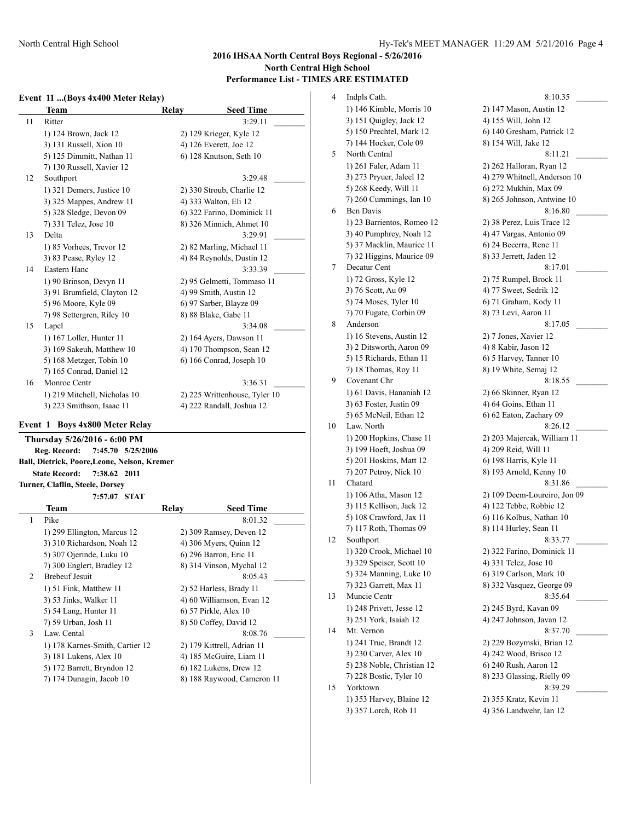#### **Event 11 ...(Boys 4x400 Meter Relay)**

|    | <b>Team</b>                    | Relay | <b>Seed Time</b>              |
|----|--------------------------------|-------|-------------------------------|
| 11 | Ritter                         |       | 3:29.11                       |
|    | 1) 124 Brown, Jack 12          |       | 2) 129 Krieger, Kyle 12       |
|    | 3) 131 Russell, Xion 10        |       | 4) 126 Everett, Joe 12        |
|    | 5) 125 Dimmitt, Nathan 11      |       | 6) 128 Knutson, Seth 10       |
|    | 7) 130 Russell, Xavier 12      |       |                               |
| 12 | Southport                      |       | 3:29.48                       |
|    | 1) 321 Demers, Justice 10      |       | 2) 330 Stroub, Charlie 12     |
|    | 3) 325 Mappes, Andrew 11       |       | 4) 333 Walton, Eli 12         |
|    | 5) 328 Sledge, Devon 09        |       | 6) 322 Farino, Dominick 11    |
|    | 7) 331 Telez, Jose 10          |       | 8) 326 Minnich, Ahmet 10      |
| 13 | Delta                          |       | 3:29.91                       |
|    | 1) 85 Vorhees, Trevor 12       |       | 2) 82 Marling, Michael 11     |
|    | 3) 83 Pease, Ryley 12          |       | 4) 84 Reynolds, Dustin 12     |
| 14 | Eastern Hanc                   |       | 3:33.39                       |
|    | 1) 90 Brinson, Devyn 11        |       | 2) 95 Gelmetti, Tommaso 11    |
|    | 3) 91 Brumfield, Clayton 12    |       | 4) 99 Smith, Austin 12        |
|    | 5) 96 Moore, Kyle 09           |       | 6) 97 Sarber, Blayze 09       |
|    | 7) 98 Settergren, Riley 10     |       | 8) 88 Blake, Gabe 11          |
| 15 | Lapel                          |       | 3:34.08                       |
|    | 1) 167 Loller, Hunter 11       |       | 2) 164 Ayers, Dawson 11       |
|    | 3) 169 Sakeuh, Matthew 10      |       | 4) 170 Thompson, Sean 12      |
|    | 5) 168 Metzger, Tobin 10       |       | 6) 166 Conrad, Joseph 10      |
|    | 7) 165 Conrad, Daniel 12       |       |                               |
| 16 | Monroe Centr                   |       | 3:36.31                       |
|    | 1) 219 Mitchell, Nicholas 10   |       | 2) 225 Writtenhouse, Tyler 10 |
|    | 3) 223 Smithson, Isaac 11      |       | 4) 222 Randall, Joshua 12     |
|    | Event 1 Roys 4x800 Meter Relay |       |                               |

#### **Event 1 Boys 4x800 Meter Relay**

**Thursday 5/26/2016 - 6:00 PM Reg. Record: 7:45.70 5/25/2006 Ball, Dietrick, Poore,Leone, Nelson, Kremer State Record: 7:38.62 2011 Turner, Claflin, Steele, Dorsey**

**7:57.07 STAT**

|   | Team                            | Relay | <b>Seed Time</b>           |
|---|---------------------------------|-------|----------------------------|
| 1 | Pike                            |       | 8:01.32                    |
|   | 1) 299 Ellington, Marcus 12     |       | 2) 309 Ramsey, Deven 12    |
|   | 3) 310 Richardson, Noah 12      |       | 4) 306 Myers, Quinn 12     |
|   | 5) 307 Ojerinde, Luku 10        |       | 6) 296 Barron, Eric 11     |
|   | 7) 300 Englert, Bradley 12      |       | 8) 314 Vinson, Mychal 12   |
| 2 | <b>Brebeuf Jesuit</b>           |       | 8:05.43                    |
|   | 1) 51 Fink, Matthew 11          |       | 2) 52 Harless, Brady 11    |
|   | 3) 53 Jinks, Walker 11          |       | 4) 60 Williamson, Evan 12  |
|   | 5) 54 Lang, Hunter 11           |       | 6) 57 Pirkle, Alex 10      |
|   | 7) 59 Urban, Josh 11            |       | 8) 50 Coffey, David 12     |
| 3 | Law. Cental                     |       | 8:08.76                    |
|   | 1) 178 Karnes-Smith, Cartier 12 |       | 2) 179 Kittrell, Adrian 11 |
|   | 3) 181 Lukens, Alex 10          |       | 4) 185 McGuire, Liam 11    |
|   | 5) 172 Barrett, Bryndon 12      |       | 6) 182 Lukens, Drew 12     |
|   | 7) 174 Dunagin, Jacob 10        |       | 8) 188 Raywood, Cameron 11 |

4 Indpls Cath. 8:10.35 L 1) 146 Kimble, Morris 10 2) 147 Mason, Austin 12 3) 151 Quigley, Jack 12 4) 155 Will, John 12 5) 150 Prechtel, Mark 12 6) 140 Gresham, Patrick 12 7) 144 Hocker, Cole 09 8) 154 Will, Jake 12 5 North Central 8:11.21 1) 261 Faler, Adam 11 2) 262 Halloran, Ryan 12 3) 273 Pryuer, Jaleel 12 4) 279 Whitnell, Anderson 10 5) 268 Keedy, Will 11 6) 272 Mukhin, Max 09 7) 260 Cummings, Ian 10 8) 265 Johnson, Antwine 10 6 Ben Davis 8:16.80 1) 23 Barrientos, Romeo 12 2) 38 Perez, Luis Trace 12 3) 40 Pumphrey, Noah 12 4) 47 Vargas, Antonio 09 5) 37 Macklin, Maurice 11 6) 24 Becerra, Rene 11 7) 32 Higgins, Maurice 09 8) 33 Jerrett, Jaden 12 7 Decatur Cent 8:17.01 \_ 1) 72 Gross, Kyle 12 2) 75 Rumpel, Brock 11 3) 76 Scott, Au 09 4) 77 Sweet, Sedrik 12 5) 74 Moses, Tyler 10 6) 71 Graham, Kody 11 7) 70 Fugate, Corbin 09 8) 73 Levi, Aaron 11 8 Anderson 8:17.05 1) 16 Stevens, Austin 12 2) 7 Jones, Xavier 12 3) 2 Ditsworth, Aaron 09 4) 8 Kabir, Jason 12 5) 15 Richards, Ethan 11 6) 5 Harvey, Tanner 10 7) 18 Thomas, Roy 11 8) 19 White, Semaj 12 9 Covenant Chr 8:18.55 1) 61 Davis, Hananiah 12 2) 66 Skinner, Ryan 12 3) 63 Foster, Justin 09 4) 64 Goins, Ethan 11 5) 65 McNeil, Ethan 12 6) 62 Eaton, Zachary 09 10 Law. North 8:26.12 1) 200 Hopkins, Chase 11 2) 203 Majercak, William 11 3) 199 Hoeft, Joshua 09 4) 209 Reid, Will 11 5) 201 Hoskins, Matt 12 6) 198 Harris, Kyle 11 7) 207 Petroy, Nick 10 8) 193 Arnold, Kenny 10 11 Chatard 8:31.86 1) 106 Atha, Mason 12 2) 109 Deem-Loureiro, Jon 09 3) 115 Kellison, Jack 12 4) 122 Tebbe, Robbie 12 5) 108 Crawford, Jax 11 6) 116 Kolbus, Nathan 10 7) 117 Roth, Thomas 09 8) 114 Hurley, Sean 11 12 Southport 8:33.77 1) 320 Crook, Michael 10 2) 322 Farino, Dominick 11 3) 329 Speiser, Scott 10 4) 331 Telez, Jose 10 5) 324 Manning, Luke 10 6) 319 Carlson, Mark 10 7) 323 Garrett, Max 11 8) 332 Vasquez, George 09 13 Muncie Centr 8:35.64 1) 248 Privett, Jesse 12 2) 245 Byrd, Kavan 09 3) 251 York, Isaiah 12 4) 247 Johnson, Javan 12 14 Mt. Vernon 8:37.70 1) 241 True, Brandt 12 2) 229 Bozymski, Brian 12 3) 230 Carver, Alex 10 4) 242 Wood, Brisco 12 5) 238 Noble, Christian 12 6) 240 Rush, Aaron 12 7) 228 Bostic, Tyler 10 8) 233 Glassing, Rielly 09 15 Yorktown 8:39.29 \_\_\_\_\_\_\_\_\_ 1) 353 Harvey, Blaine 12 2) 355 Kratz, Kevin 11 3) 357 Lorch, Rob 11 4) 356 Landwehr, Ian 12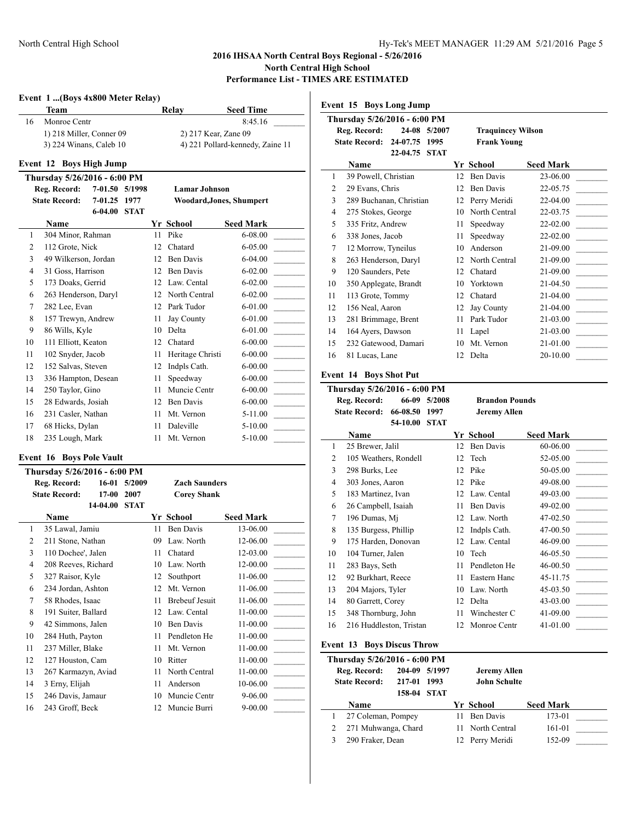**Event 15 Boys Long Jump**

# **Event 1 ...(Boys 4x800 Meter Relay) Team Relay Seed Time** 16 Monroe Centr 8:45.16 \_\_\_\_\_\_\_\_\_ 1) 218 Miller, Conner 09 2) 217 Kear, Zane 09 3) 224 Winans, Caleb 10 4) 221 Pollard-kennedy, Zaine 11 **Event 12 Boys High Jump Thursday 5/26/2016 - 6:00 PM Reg. Record: 7-01.50 5/1998 Lamar Johnson State Record: 7-01.25 1977 Woodard,Jones, Shumpert 6-04.00 STAT Name Yr School Seed Mark** 1 304 Minor, Rahman 11 Pike 6-08.00 2 112 Grote, Nick 12 Chatard 6-05.00 3 49 Wilkerson, Jordan 12 Ben Davis 6-04.00 4 31 Goss, Harrison 12 Ben Davis 6-02.00 5 173 Doaks, Gerrid 12 Law. Cental 6-02.00 6 263 Henderson, Daryl 12 North Central 6-02.00 7 282 Lee, Evan 12 Park Tudor 6-01.00 8 157 Trewyn, Andrew 11 Jay County 6-01.00 9 86 Wills, Kyle 10 Delta 6-01.00 10 111 Elliott, Keaton 12 Chatard 6-00.00 11 102 Snyder, Jacob 11 Heritage Christi 6-00.00 12 152 Salvas, Steven 12 Indpls Cath. 6-00.00 13 336 Hampton, Desean 11 Speedway 6-00.00 14 250 Taylor, Gino 11 Muncie Centr 6-00.00 15 28 Edwards, Josiah 12 Ben Davis 6-00.00 16 231 Casler, Nathan 11 Mt. Vernon 5-11.00 17 68 Hicks, Dylan 11 Daleville 5-10.00 18 235 Lough, Mark 11 Mt. Vernon 5-10.00 **Event 16 Boys Pole Vault Thursday 5/26/2016 - 6:00 PM Reg. Record: 16-01 5/2009 Zach Saunders State Record: 17-00 2007 Corey Shank 14-04.00 STAT Name Yr School Seed Mark** 1 35 Lawal, Jamiu 11 Ben Davis 13-06.00 2 211 Stone, Nathan 09 Law. North 12-06.00 3 110 Dochee', Jalen 11 Chatard 12-03.00 4 208 Reeves, Richard 10 Law. North 12-00.00 5 327 Raisor, Kyle 12 Southport 11-06.00 6 234 Jordan, Ashton 12 Mt. Vernon 11-06.00 7 58 Rhodes, Isaac 11 Brebeuf Jesuit 11-06.00 8 191 Suiter, Ballard 12 Law. Cental 11-00.00 9 42 Simmons, Jalen 10 Ben Davis 11-00.00 10 284 Huth, Payton 11 Pendleton He 11-00.00 11 237 Miller, Blake 11 Mt. Vernon 11-00.00 12 127 Houston, Cam 10 Ritter 11-00.00 13 267 Karmazyn, Aviad 11 North Central 11-00.00 14 3 Erny, Elijah 11 Anderson 10-06.00

15 246 Davis, Jamaur 10 Muncie Centr 9-06.00 16 243 Groff, Beck 12 Muncie Burri 9-00.00

|    | Thursday 5/26/2016 - 6:00 PM                 |                  |             |    |                          |                                      |
|----|----------------------------------------------|------------------|-------------|----|--------------------------|--------------------------------------|
|    | Reg. Record:                                 | 24-08            | 5/2007      |    | <b>Traquincey Wilson</b> |                                      |
|    | <b>State Record:</b>                         | 24-07.75         | 1995        |    | <b>Frank Young</b>       |                                      |
|    |                                              | 22-04.75 STAT    |             |    |                          |                                      |
|    | Name                                         |                  |             |    | Yr School                | <b>Seed Mark</b>                     |
| 1  | 39 Powell, Christian                         |                  |             | 12 | <b>Ben Davis</b>         | 23-06.00                             |
| 2  | 29 Evans, Chris                              |                  |             | 12 | Ben Davis                | 22-05.75                             |
| 3  | 289 Buchanan, Christian                      |                  |             | 12 | Perry Meridi             | 22-04.00                             |
| 4  | 275 Stokes, George                           |                  |             | 10 | North Central            | 22-03.75                             |
| 5  | 335 Fritz, Andrew                            |                  |             | 11 | Speedway                 | 22-02.00                             |
| 6  | 338 Jones, Jacob                             |                  |             | 11 | Speedway                 | 22-02.00                             |
| 7  | 12 Morrow, Tyneilus                          |                  |             | 10 | Anderson                 | 21-09.00                             |
| 8  | 263 Henderson, Daryl                         |                  |             | 12 | North Central            | 21-09.00<br><b>Contract Contract</b> |
| 9  | 120 Saunders, Pete                           |                  |             | 12 | Chatard                  | 21-09.00                             |
| 10 | 350 Applegate, Brandt                        |                  |             | 10 | Yorktown                 | 21-04.50                             |
| 11 | 113 Grote, Tommy                             |                  |             | 12 | Chatard                  | 21-04.00<br>$\sim$                   |
| 12 | 156 Neal, Aaron                              |                  |             | 12 | <b>Jay County</b>        | 21-04.00                             |
| 13 | 281 Brimmage, Brent                          |                  |             | 11 | Park Tudor               | 21-03.00<br><b>Contractor</b>        |
| 14 | 164 Ayers, Dawson                            |                  |             | 11 | Lapel                    | 21-03.00                             |
| 15 | 232 Gatewood, Damari                         |                  |             | 10 | Mt. Vernon               | 21-01.00                             |
| 16 | 81 Lucas, Lane                               |                  |             | 12 | Delta                    | 20-10.00                             |
|    |                                              |                  |             |    |                          |                                      |
|    | <b>Event 14 Boys Shot Put</b>                |                  |             |    |                          |                                      |
|    | Thursday 5/26/2016 - 6:00 PM                 |                  |             |    |                          |                                      |
|    | Reg. Record:                                 | 66-09            | 5/2008      |    | <b>Brandon Pounds</b>    |                                      |
|    | <b>State Record:</b>                         | 66-08.50         | 1997        |    | <b>Jeremy Allen</b>      |                                      |
|    |                                              | 54-10.00         | <b>STAT</b> |    |                          |                                      |
|    |                                              |                  |             |    |                          |                                      |
|    | Name                                         |                  |             |    | Yr School                | <b>Seed Mark</b>                     |
| 1  | 25 Brewer, Jalil                             |                  |             | 12 | Ben Davis                | 60-06.00                             |
| 2  | 105 Weathers, Rondell                        |                  |             | 12 | Tech                     | 52-05.00                             |
| 3  | 298 Burks, Lee                               |                  |             | 12 | Pike                     | 50-05.00                             |
| 4  | 303 Jones, Aaron                             |                  |             | 12 | Pike                     | 49-08.00                             |
| 5  | 183 Martinez, Ivan                           |                  |             | 12 | Law. Cental              | 49-03.00                             |
| 6  | 26 Campbell, Isaiah                          |                  |             | 11 | <b>Ben Davis</b>         | 49-02.00                             |
| 7  |                                              |                  |             |    | 12 Law. North            | 47-02.50                             |
| 8  | 196 Dumas, Mj                                |                  |             | 12 | Indpls Cath.             | $\sim$<br>47-00.50                   |
| 9  | 135 Burgess, Phillip<br>175 Harden, Donovan  |                  |             | 12 | Law. Cental              | 46-09.00                             |
| 10 | 104 Turner, Jalen                            |                  |             | 10 | Tech                     | 46-05.50                             |
| 11 | 283 Bays, Seth                               |                  |             | 11 | Pendleton He             | 46-00.50                             |
| 12 |                                              |                  |             |    | 11 Eastern Hanc          |                                      |
|    | 92 Burkhart, Reece                           |                  |             |    |                          | 45-11.75                             |
| 13 | 204 Majors, Tyler                            |                  |             |    | 10 Law. North            | 45-03.50<br><u> 1999 - Jan Ja</u>    |
| 14 | 80 Garrett, Corey                            |                  |             | 12 | Delta                    | 43-03.00                             |
| 15 | 348 Thornburg, John                          |                  |             | 11 | Winchester C             | 41-09.00                             |
| 16 | 216 Huddleston, Tristan                      |                  |             | 12 | Monroe Centr             | 41-01.00                             |
|    | <b>Event 13 Boys Discus Throw</b>            |                  |             |    |                          |                                      |
|    |                                              |                  |             |    |                          |                                      |
|    | Thursday 5/26/2016 - 6:00 PM<br>Reg. Record: | 204-09           | 5/1997      |    | <b>Jeremy Allen</b>      |                                      |
|    | <b>State Record:</b>                         |                  | 1993        |    | <b>John Schulte</b>      |                                      |
|    |                                              | 217-01<br>158-04 | STAT        |    |                          |                                      |
|    | Name                                         |                  |             |    |                          |                                      |
| 1  | 27 Coleman, Pompey                           |                  |             | 11 | Yr School<br>Ben Davis   | <b>Seed Mark</b><br>173-01           |

3 290 Fraker, Dean 12 Perry Meridi 152-09